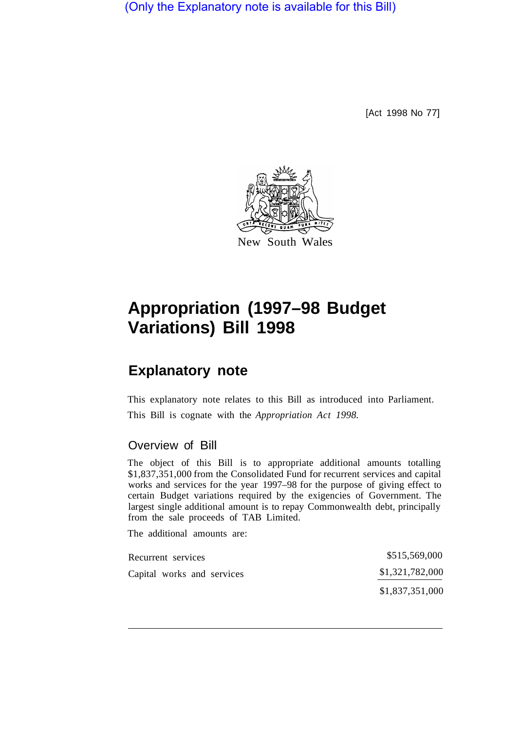(Only the Explanatory note is available for this Bill)

[Act 1998 No 77]



## **Appropriation (1997–98 Budget Variations) Bill 1998**

## **Explanatory note**

This explanatory note relates to this Bill as introduced into Parliament. This Bill is cognate with the *Appropriation Act 1998.* 

## Overview of Bill

The object of this Bill is to appropriate additional amounts totalling \$1,837,351,000 from the Consolidated Fund for recurrent services and capital works and services for the year 1997–98 for the purpose of giving effect to certain Budget variations required by the exigencies of Government. The largest single additional amount is to repay Commonwealth debt, principally from the sale proceeds of TAB Limited.

The additional amounts are:

| Recurrent services         | \$515,569,000   |
|----------------------------|-----------------|
| Capital works and services | \$1,321,782,000 |
|                            | \$1,837,351,000 |